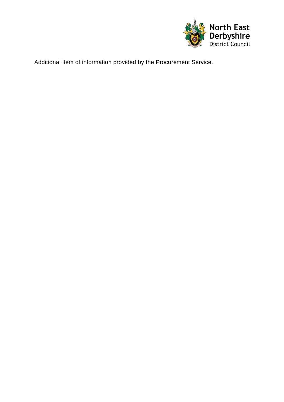

Additional item of information provided by the Procurement Service.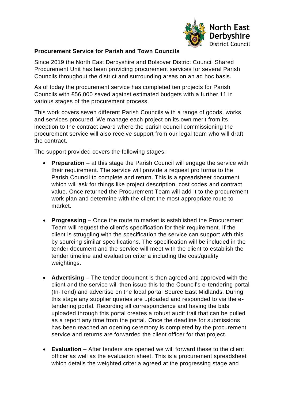

## **Procurement Service for Parish and Town Councils**

Since 2019 the North East Derbyshire and Bolsover District Council Shared Procurement Unit has been providing procurement services for several Parish Councils throughout the district and surrounding areas on an ad hoc basis.

As of today the procurement service has completed ten projects for Parish Councils with £56,000 saved against estimated budgets with a further 11 in various stages of the procurement process.

This work covers seven different Parish Councils with a range of goods, works and services procured. We manage each project on its own merit from its inception to the contract award where the parish council commissioning the procurement service will also receive support from our legal team who will draft the contract.

The support provided covers the following stages:

- **Preparation** at this stage the Parish Council will engage the service with their requirement. The service will provide a request pro forma to the Parish Council to complete and return. This is a spreadsheet document which will ask for things like project description, cost codes and contract value. Once returned the Procurement Team will add it to the procurement work plan and determine with the client the most appropriate route to market.
- **Progressing** Once the route to market is established the Procurement Team will request the client's specification for their requirement. If the client is struggling with the specification the service can support with this by sourcing similar specifications. The specification will be included in the tender document and the service will meet with the client to establish the tender timeline and evaluation criteria including the cost/quality weightings.
- **Advertising** The tender document is then agreed and approved with the client and the service will then issue this to the Council's e-tendering portal (In-Tend) and advertise on the local portal Source East Midlands. During this stage any supplier queries are uploaded and responded to via the etendering portal. Recording all correspondence and having the bids uploaded through this portal creates a robust audit trail that can be pulled as a report any time from the portal. Once the deadline for submissions has been reached an opening ceremony is completed by the procurement service and returns are forwarded the client officer for that project.
- **Evaluation** After tenders are opened we will forward these to the client officer as well as the evaluation sheet. This is a procurement spreadsheet which details the weighted criteria agreed at the progressing stage and